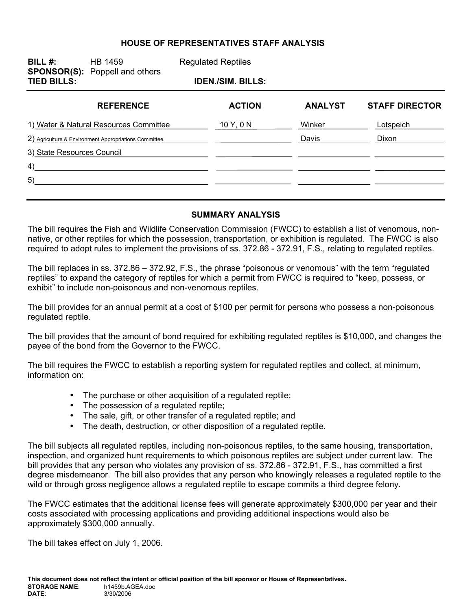### **HOUSE OF REPRESENTATIVES STAFF ANALYSIS**

| BILL $#$ :                             | HB 1459<br><b>SPONSOR(S):</b> Poppell and others      | <b>Regulated Reptiles</b> |                |                       |
|----------------------------------------|-------------------------------------------------------|---------------------------|----------------|-----------------------|
| <b>TIED BILLS:</b>                     |                                                       | <b>IDEN./SIM. BILLS:</b>  |                |                       |
|                                        | <b>REFERENCE</b>                                      | <b>ACTION</b>             | <b>ANALYST</b> | <b>STAFF DIRECTOR</b> |
| 1) Water & Natural Resources Committee |                                                       | 10 Y, 0 N                 | Winker         | Lotspeich             |
|                                        | 2) Agriculture & Environment Appropriations Committee |                           | Davis          | Dixon                 |
| 3) State Resources Council             |                                                       |                           |                |                       |
| 4)                                     |                                                       |                           |                |                       |
| 5)                                     |                                                       |                           |                |                       |
|                                        |                                                       |                           |                |                       |

#### **SUMMARY ANALYSIS**

The bill requires the Fish and Wildlife Conservation Commission (FWCC) to establish a list of venomous, nonnative, or other reptiles for which the possession, transportation, or exhibition is regulated. The FWCC is also required to adopt rules to implement the provisions of ss. 372.86 - 372.91, F.S., relating to regulated reptiles.

The bill replaces in ss. 372.86 – 372.92, F.S., the phrase "poisonous or venomous" with the term "regulated reptiles" to expand the category of reptiles for which a permit from FWCC is required to "keep, possess, or exhibit" to include non-poisonous and non-venomous reptiles.

The bill provides for an annual permit at a cost of \$100 per permit for persons who possess a non-poisonous regulated reptile.

The bill provides that the amount of bond required for exhibiting regulated reptiles is \$10,000, and changes the payee of the bond from the Governor to the FWCC.

The bill requires the FWCC to establish a reporting system for regulated reptiles and collect, at minimum, information on:

- The purchase or other acquisition of a regulated reptile;
- The possession of a regulated reptile;
- The sale, gift, or other transfer of a regulated reptile; and
- The death, destruction, or other disposition of a regulated reptile.

The bill subjects all regulated reptiles, including non-poisonous reptiles, to the same housing, transportation, inspection, and organized hunt requirements to which poisonous reptiles are subject under current law. The bill provides that any person who violates any provision of ss. 372.86 - 372.91, F.S., has committed a first degree misdemeanor. The bill also provides that any person who knowingly releases a regulated reptile to the wild or through gross negligence allows a regulated reptile to escape commits a third degree felony.

The FWCC estimates that the additional license fees will generate approximately \$300,000 per year and their costs associated with processing applications and providing additional inspections would also be approximately \$300,000 annually.

The bill takes effect on July 1, 2006.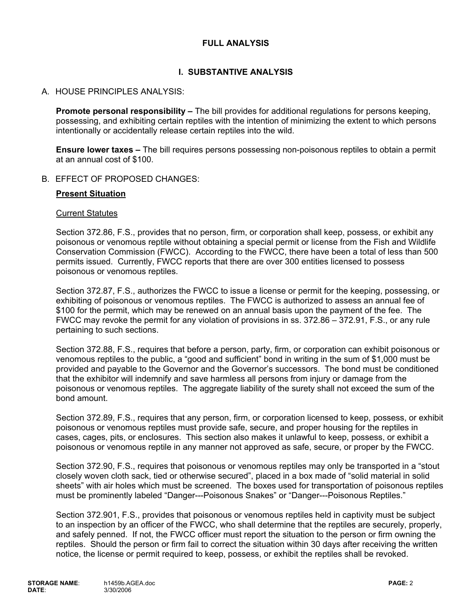## **FULL ANALYSIS**

## **I. SUBSTANTIVE ANALYSIS**

### A. HOUSE PRINCIPLES ANALYSIS:

**Promote personal responsibility –** The bill provides for additional regulations for persons keeping, possessing, and exhibiting certain reptiles with the intention of minimizing the extent to which persons intentionally or accidentally release certain reptiles into the wild.

**Ensure lower taxes –** The bill requires persons possessing non-poisonous reptiles to obtain a permit at an annual cost of \$100.

### B. EFFECT OF PROPOSED CHANGES:

#### **Present Situation**

#### Current Statutes

Section 372.86, F.S., provides that no person, firm, or corporation shall keep, possess, or exhibit any poisonous or venomous reptile without obtaining a special permit or license from the Fish and Wildlife Conservation Commission (FWCC). According to the FWCC, there have been a total of less than 500 permits issued. Currently, FWCC reports that there are over 300 entities licensed to possess poisonous or venomous reptiles.

Section 372.87, F.S., authorizes the FWCC to issue a license or permit for the keeping, possessing, or exhibiting of poisonous or venomous reptiles. The FWCC is authorized to assess an annual fee of \$100 for the permit, which may be renewed on an annual basis upon the payment of the fee. The FWCC may revoke the permit for any violation of provisions in ss. 372.86 – 372.91, F.S., or any rule pertaining to such sections.

Section 372.88, F.S., requires that before a person, party, firm, or corporation can exhibit poisonous or venomous reptiles to the public, a "good and sufficient" bond in writing in the sum of \$1,000 must be provided and payable to the Governor and the Governor's successors. The bond must be conditioned that the exhibitor will indemnify and save harmless all persons from injury or damage from the poisonous or venomous reptiles. The aggregate liability of the surety shall not exceed the sum of the bond amount.

Section 372.89, F.S., requires that any person, firm, or corporation licensed to keep, possess, or exhibit poisonous or venomous reptiles must provide safe, secure, and proper housing for the reptiles in cases, cages, pits, or enclosures. This section also makes it unlawful to keep, possess, or exhibit a poisonous or venomous reptile in any manner not approved as safe, secure, or proper by the FWCC.

Section 372.90, F.S., requires that poisonous or venomous reptiles may only be transported in a "stout closely woven cloth sack, tied or otherwise secured", placed in a box made of "solid material in solid sheets" with air holes which must be screened. The boxes used for transportation of poisonous reptiles must be prominently labeled "Danger---Poisonous Snakes" or "Danger---Poisonous Reptiles."

Section 372.901, F.S., provides that poisonous or venomous reptiles held in captivity must be subject to an inspection by an officer of the FWCC, who shall determine that the reptiles are securely, properly, and safely penned. If not, the FWCC officer must report the situation to the person or firm owning the reptiles. Should the person or firm fail to correct the situation within 30 days after receiving the written notice, the license or permit required to keep, possess, or exhibit the reptiles shall be revoked.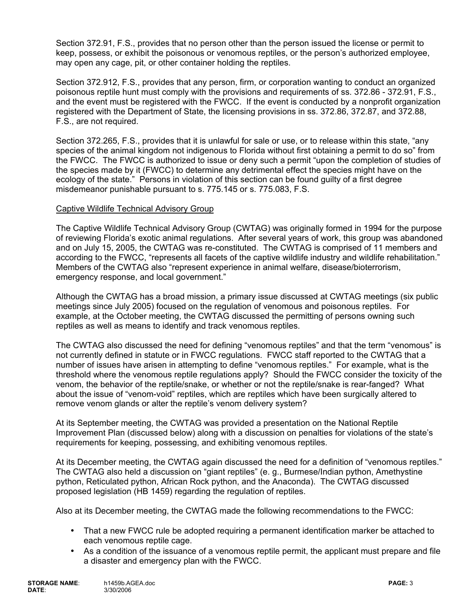Section 372.91, F.S., provides that no person other than the person issued the license or permit to keep, possess, or exhibit the poisonous or venomous reptiles, or the person's authorized employee, may open any cage, pit, or other container holding the reptiles.

Section 372.912, F.S., provides that any person, firm, or corporation wanting to conduct an organized poisonous reptile hunt must comply with the provisions and requirements of ss. 372.86 - 372.91, F.S., and the event must be registered with the FWCC. If the event is conducted by a nonprofit organization registered with the Department of State, the licensing provisions in ss. 372.86, 372.87, and 372.88, F.S., are not required.

Section 372.265, F.S., provides that it is unlawful for sale or use, or to release within this state, "any species of the animal kingdom not indigenous to Florida without first obtaining a permit to do so" from the FWCC. The FWCC is authorized to issue or deny such a permit "upon the completion of studies of the species made by it (FWCC) to determine any detrimental effect the species might have on the ecology of the state." Persons in violation of this section can be found guilty of a first degree misdemeanor punishable pursuant to s. 775.145 or s. 775.083, F.S.

### Captive Wildlife Technical Advisory Group

The Captive Wildlife Technical Advisory Group (CWTAG) was originally formed in 1994 for the purpose of reviewing Florida's exotic animal regulations. After several years of work, this group was abandoned and on July 15, 2005, the CWTAG was re-constituted. The CWTAG is comprised of 11 members and according to the FWCC, "represents all facets of the captive wildlife industry and wildlife rehabilitation." Members of the CWTAG also "represent experience in animal welfare, disease/bioterrorism, emergency response, and local government."

Although the CWTAG has a broad mission, a primary issue discussed at CWTAG meetings (six public meetings since July 2005) focused on the regulation of venomous and poisonous reptiles. For example, at the October meeting, the CWTAG discussed the permitting of persons owning such reptiles as well as means to identify and track venomous reptiles.

The CWTAG also discussed the need for defining "venomous reptiles" and that the term "venomous" is not currently defined in statute or in FWCC regulations. FWCC staff reported to the CWTAG that a number of issues have arisen in attempting to define "venomous reptiles." For example, what is the threshold where the venomous reptile regulations apply? Should the FWCC consider the toxicity of the venom, the behavior of the reptile/snake, or whether or not the reptile/snake is rear-fanged? What about the issue of "venom-void" reptiles, which are reptiles which have been surgically altered to remove venom glands or alter the reptile's venom delivery system?

At its September meeting, the CWTAG was provided a presentation on the National Reptile Improvement Plan (discussed below) along with a discussion on penalties for violations of the state's requirements for keeping, possessing, and exhibiting venomous reptiles.

At its December meeting, the CWTAG again discussed the need for a definition of "venomous reptiles." The CWTAG also held a discussion on "giant reptiles" (e. g., Burmese/Indian python, Amethystine python, Reticulated python, African Rock python, and the Anaconda). The CWTAG discussed proposed legislation (HB 1459) regarding the regulation of reptiles.

Also at its December meeting, the CWTAG made the following recommendations to the FWCC:

- That a new FWCC rule be adopted requiring a permanent identification marker be attached to each venomous reptile cage.
- As a condition of the issuance of a venomous reptile permit, the applicant must prepare and file a disaster and emergency plan with the FWCC.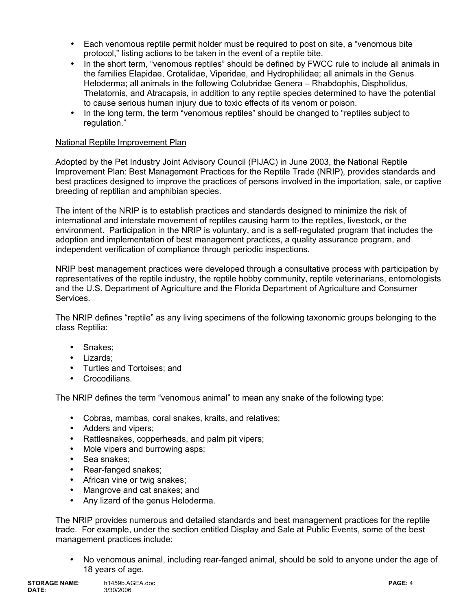- Each venomous reptile permit holder must be required to post on site, a "venomous bite protocol," listing actions to be taken in the event of a reptile bite.
- In the short term, "venomous reptiles" should be defined by FWCC rule to include all animals in the families Elapidae, Crotalidae, Viperidae, and Hydrophilidae; all animals in the Genus Heloderma; all animals in the following Colubridae Genera – Rhabdophis, Dispholidus, Thelatornis, and Atracapsis, in addition to any reptile species determined to have the potential to cause serious human injury due to toxic effects of its venom or poison.
- In the long term, the term "venomous reptiles" should be changed to "reptiles subject to regulation."

## National Reptile Improvement Plan

Adopted by the Pet Industry Joint Advisory Council (PIJAC) in June 2003, the National Reptile Improvement Plan: Best Management Practices for the Reptile Trade (NRIP), provides standards and best practices designed to improve the practices of persons involved in the importation, sale, or captive breeding of reptilian and amphibian species.

The intent of the NRIP is to establish practices and standards designed to minimize the risk of international and interstate movement of reptiles causing harm to the reptiles, livestock, or the environment. Participation in the NRIP is voluntary, and is a self-regulated program that includes the adoption and implementation of best management practices, a quality assurance program, and independent verification of compliance through periodic inspections.

NRIP best management practices were developed through a consultative process with participation by representatives of the reptile industry, the reptile hobby community, reptile veterinarians, entomologists and the U.S. Department of Agriculture and the Florida Department of Agriculture and Consumer Services.

The NRIP defines "reptile" as any living specimens of the following taxonomic groups belonging to the class Reptilia:

- Snakes;
- Lizards;
- Turtles and Tortoises; and
- Crocodilians.

The NRIP defines the term "venomous animal" to mean any snake of the following type:

- Cobras, mambas, coral snakes, kraits, and relatives;
- Adders and vipers;
- Rattlesnakes, copperheads, and palm pit vipers;
- Mole vipers and burrowing asps;
- Sea snakes;
- Rear-fanged snakes;
- African vine or twig snakes:
- Mangrove and cat snakes; and
- Any lizard of the genus Heloderma.

The NRIP provides numerous and detailed standards and best management practices for the reptile trade. For example, under the section entitled Display and Sale at Public Events, some of the best management practices include:

• No venomous animal, including rear-fanged animal, should be sold to anyone under the age of 18 years of age.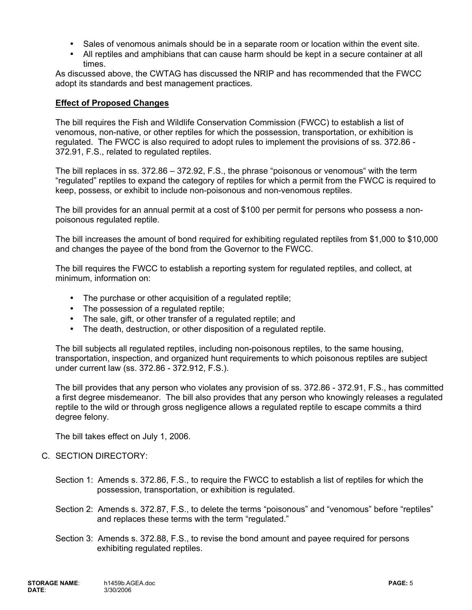- Sales of venomous animals should be in a separate room or location within the event site.
- All reptiles and amphibians that can cause harm should be kept in a secure container at all times.

As discussed above, the CWTAG has discussed the NRIP and has recommended that the FWCC adopt its standards and best management practices.

#### **Effect of Proposed Changes**

The bill requires the Fish and Wildlife Conservation Commission (FWCC) to establish a list of venomous, non-native, or other reptiles for which the possession, transportation, or exhibition is regulated. The FWCC is also required to adopt rules to implement the provisions of ss. 372.86 - 372.91, F.S., related to regulated reptiles.

The bill replaces in ss. 372.86 – 372.92, F.S., the phrase "poisonous or venomous" with the term "regulated" reptiles to expand the category of reptiles for which a permit from the FWCC is required to keep, possess, or exhibit to include non-poisonous and non-venomous reptiles.

The bill provides for an annual permit at a cost of \$100 per permit for persons who possess a nonpoisonous regulated reptile.

The bill increases the amount of bond required for exhibiting regulated reptiles from \$1,000 to \$10,000 and changes the payee of the bond from the Governor to the FWCC.

The bill requires the FWCC to establish a reporting system for regulated reptiles, and collect, at minimum, information on:

- The purchase or other acquisition of a regulated reptile;
- The possession of a regulated reptile;
- The sale, gift, or other transfer of a regulated reptile; and
- The death, destruction, or other disposition of a regulated reptile.

The bill subjects all regulated reptiles, including non-poisonous reptiles, to the same housing, transportation, inspection, and organized hunt requirements to which poisonous reptiles are subject under current law (ss. 372.86 - 372.912, F.S.).

The bill provides that any person who violates any provision of ss. 372.86 - 372.91, F.S., has committed a first degree misdemeanor. The bill also provides that any person who knowingly releases a regulated reptile to the wild or through gross negligence allows a regulated reptile to escape commits a third degree felony.

The bill takes effect on July 1, 2006.

- C. SECTION DIRECTORY:
	- Section 1: Amends s. 372.86, F.S., to require the FWCC to establish a list of reptiles for which the possession, transportation, or exhibition is regulated.
	- Section 2: Amends s. 372.87, F.S., to delete the terms "poisonous" and "venomous" before "reptiles" and replaces these terms with the term "regulated."
	- Section 3: Amends s. 372.88, F.S., to revise the bond amount and payee required for persons exhibiting regulated reptiles.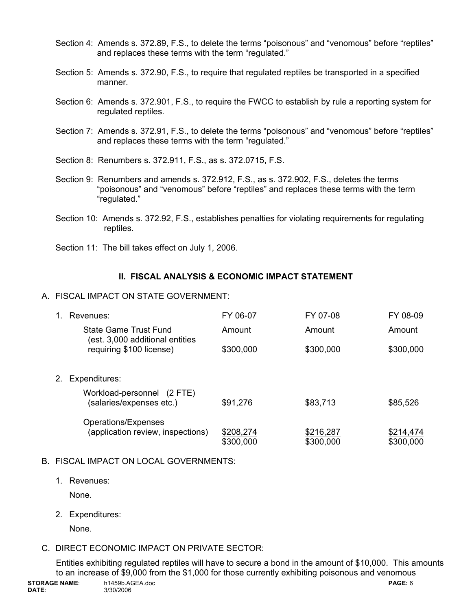- Section 4: Amends s. 372.89, F.S., to delete the terms "poisonous" and "venomous" before "reptiles" and replaces these terms with the term "regulated."
- Section 5: Amends s. 372.90, F.S., to require that regulated reptiles be transported in a specified manner.
- Section 6: Amends s. 372.901, F.S., to require the FWCC to establish by rule a reporting system for regulated reptiles.
- Section 7: Amends s. 372.91, F.S., to delete the terms "poisonous" and "venomous" before "reptiles" and replaces these terms with the term "regulated."
- Section 8: Renumbers s. 372.911, F.S., as s. 372.0715, F.S.
- Section 9: Renumbers and amends s. 372.912, F.S., as s. 372.902, F.S., deletes the terms "poisonous" and "venomous" before "reptiles" and replaces these terms with the term "regulated."
- Section 10: Amends s. 372.92, F.S., establishes penalties for violating requirements for regulating reptiles.
- Section 11: The bill takes effect on July 1, 2006.

# **II. FISCAL ANALYSIS & ECONOMIC IMPACT STATEMENT**

A. FISCAL IMPACT ON STATE GOVERNMENT:

|    | Revenues:                                                | FY 06-07               | FY 07-08               | FY 08-09               |
|----|----------------------------------------------------------|------------------------|------------------------|------------------------|
|    | State Game Trust Fund<br>(est. 3,000 additional entities | Amount                 | Amount                 | Amount                 |
|    | requiring \$100 license)                                 | \$300,000              | \$300,000              | \$300,000              |
| 2. | Expenditures:                                            |                        |                        |                        |
|    | Workload-personnel (2 FTE)<br>(salaries/expenses etc.)   | \$91,276               | \$83,713               | \$85,526               |
|    | Operations/Expenses                                      |                        |                        |                        |
|    | (application review, inspections)                        | \$208,274<br>\$300,000 | \$216,287<br>\$300,000 | \$214,474<br>\$300,000 |

## B. FISCAL IMPACT ON LOCAL GOVERNMENTS:

1. Revenues:

None.

2. Expenditures:

None.

# C. DIRECT ECONOMIC IMPACT ON PRIVATE SECTOR:

Entities exhibiting regulated reptiles will have to secure a bond in the amount of \$10,000. This amounts to an increase of \$9,000 from the \$1,000 for those currently exhibiting poisonous and venomous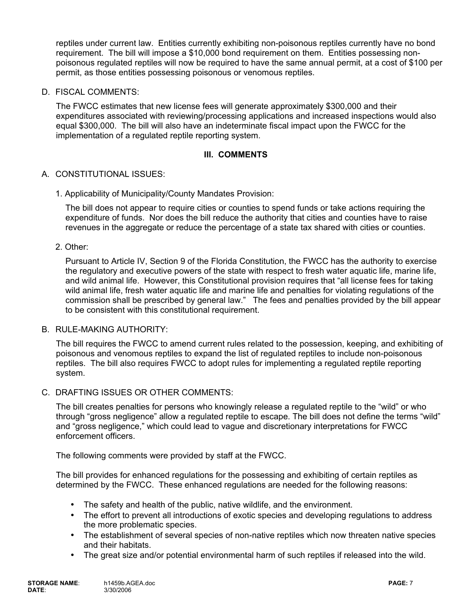reptiles under current law. Entities currently exhibiting non-poisonous reptiles currently have no bond requirement. The bill will impose a \$10,000 bond requirement on them. Entities possessing nonpoisonous regulated reptiles will now be required to have the same annual permit, at a cost of \$100 per permit, as those entities possessing poisonous or venomous reptiles.

D. FISCAL COMMENTS:

The FWCC estimates that new license fees will generate approximately \$300,000 and their expenditures associated with reviewing/processing applications and increased inspections would also equal \$300,000. The bill will also have an indeterminate fiscal impact upon the FWCC for the implementation of a regulated reptile reporting system.

### **III. COMMENTS**

## A. CONSTITUTIONAL ISSUES:

1. Applicability of Municipality/County Mandates Provision:

The bill does not appear to require cities or counties to spend funds or take actions requiring the expenditure of funds. Nor does the bill reduce the authority that cities and counties have to raise revenues in the aggregate or reduce the percentage of a state tax shared with cities or counties.

2. Other:

Pursuant to Article IV, Section 9 of the Florida Constitution, the FWCC has the authority to exercise the regulatory and executive powers of the state with respect to fresh water aquatic life, marine life, and wild animal life. However, this Constitutional provision requires that "all license fees for taking wild animal life, fresh water aquatic life and marine life and penalties for violating regulations of the commission shall be prescribed by general law." The fees and penalties provided by the bill appear to be consistent with this constitutional requirement.

#### B. RULE-MAKING AUTHORITY:

The bill requires the FWCC to amend current rules related to the possession, keeping, and exhibiting of poisonous and venomous reptiles to expand the list of regulated reptiles to include non-poisonous reptiles. The bill also requires FWCC to adopt rules for implementing a regulated reptile reporting system.

C. DRAFTING ISSUES OR OTHER COMMENTS:

The bill creates penalties for persons who knowingly release a regulated reptile to the "wild" or who through "gross negligence" allow a regulated reptile to escape. The bill does not define the terms "wild" and "gross negligence," which could lead to vague and discretionary interpretations for FWCC enforcement officers.

The following comments were provided by staff at the FWCC.

The bill provides for enhanced regulations for the possessing and exhibiting of certain reptiles as determined by the FWCC. These enhanced regulations are needed for the following reasons:

- The safety and health of the public, native wildlife, and the environment.
- The effort to prevent all introductions of exotic species and developing regulations to address the more problematic species.
- The establishment of several species of non-native reptiles which now threaten native species and their habitats.
- The great size and/or potential environmental harm of such reptiles if released into the wild.